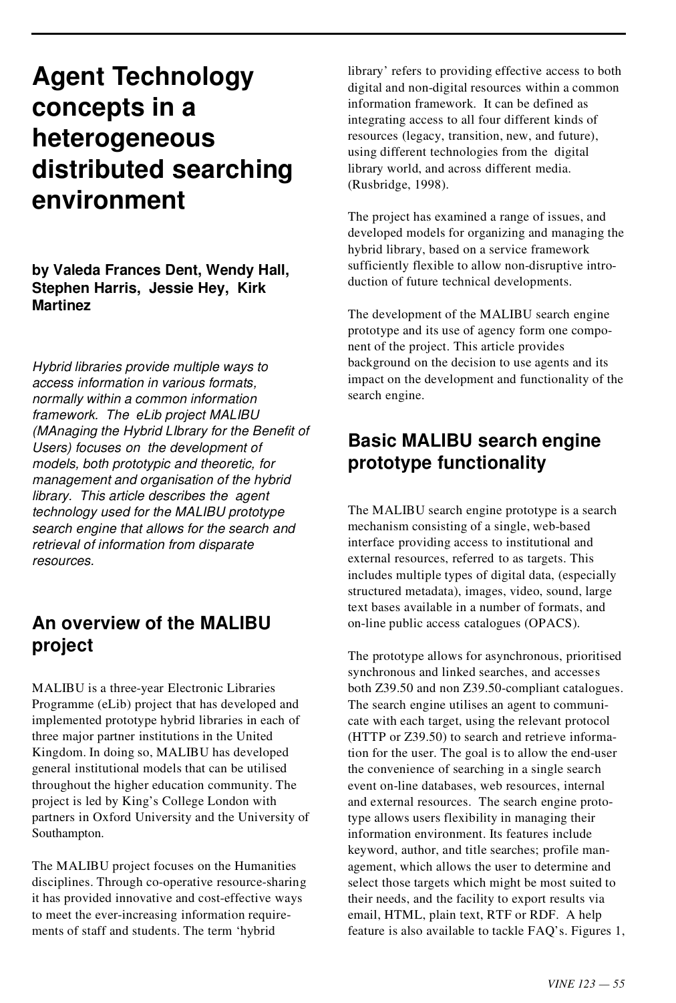# **Agent Technology concepts in a heterogeneous distributed searching environment**

**by Valeda Frances Dent, Wendy Hall, Stephen Harris, Jessie Hey, Kirk Martinez**

*Hybrid libraries provide multiple ways to access information in various formats, normally within a common information framework. The eLib project MALIBU (MAnaging the Hybrid LIbrary for the Benefit of Users) focuses on the development of models, both prototypic and theoretic, for management and organisation of the hybrid library. This article describes the agent technology used for the MALIBU prototype search engine that allows for the search and retrieval of information from disparate resources.*

## **An overview of the MALIBU project**

MALIBU is a three-year Electronic Libraries Programme (eLib) project that has developed and implemented prototype hybrid libraries in each of three major partner institutions in the United Kingdom. In doing so, MALIBU has developed general institutional models that can be utilised throughout the higher education community. The project is led by King's College London with partners in Oxford University and the University of Southampton.

The MALIBU project focuses on the Humanities disciplines. Through co-operative resource-sharing it has provided innovative and cost-effective ways to meet the ever-increasing information require ments of staff and students. The term 'hybrid

library' refers to providing effective access to both digital and non-digital resources within a common information framework. It can be defined as integrating access to all four different kinds of resources (legacy, transition, new, and future), using different technologies from the digital library world, and across different media. (Rusbridge, 1998).

The project has examined a range of issues, and developed models for organizing and managing the hybrid library, based on a service framework sufficiently flexible to allow non-disruptive intro duction of future technical developments.

The development of the MALIBU search engine prototype and its use of agency form one compo nent of the project. This article provides background on the decision to use agents and its impact on the development and functionality of the search engine.

# **Basic MALIBU search engine prototype functionality**

The MALIBU search engine prototype is a search mechanism consisting of a single, web-based interface providing access to institutional and external resources, referred to as targets. This includes multiple types of digital data, (especially structured metadata), images, video, sound, large text bases available in a number of formats, and on-line public access catalogues (OPACS).

The prototype allows for asynchronous, prioritised synchronous and linked searches, and accesses both Z39.50 and non Z39.50-compliant catalogues. The search engine utilises an agent to communi cate with each target, using the relevant protocol (HTTP or Z39.50) to search and retrieve information for the user. The goal is to allow the end-user the convenience of searching in a single search event on-line databases, web resources, internal and external resources. The search engine prototype allows users flexibility in managing their information environment. Its features include keyword, author, and title searches; profile man agement, which allows the user to determine and select those targets which might be most suited to their needs, and the facility to export results via email, HTML, plain text, RTF or RDF. A help feature is also available to tackle FAQ's. Figures 1,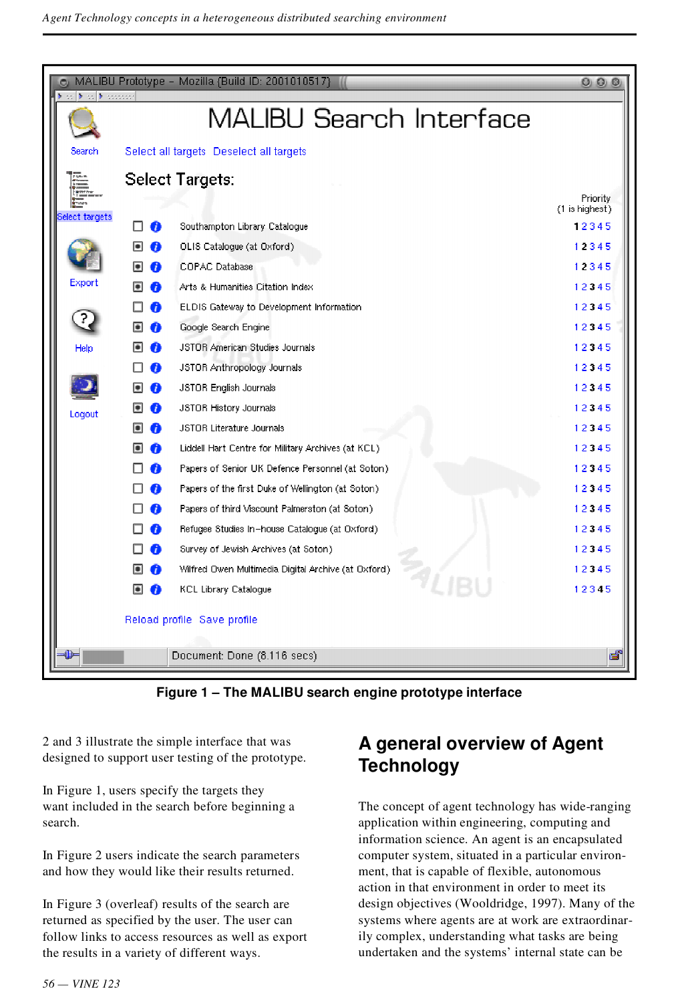

**Figure 1 – The MALIBU search engine prototype interface**

2 and 3 illustrate the simple interface that was designed to support user testing of the prototype.

In Figure 1, users specify the targets they want included in the search before beginning a search.

In Figure 2 users indicate the search parameters and how they would like their results returned.

In Figure 3 (overleaf) results of the search are returned as specified by the user. The user can follow links to access resources as well as export the results in a variety of different ways.

# **A general overview of Agent Technology**

The concept of agent technology has wide-ranging application within engineering, computing and information science. An agent is an encapsulated computer system, situated in a particular environ ment, that is capable of flexible, autonomous action in that environment in order to meet its design objectives (Wooldridge, 1997). Many of the systems where agents are at work are extraordinarily complex, understanding what tasks are being undertaken and the systems' internal state can be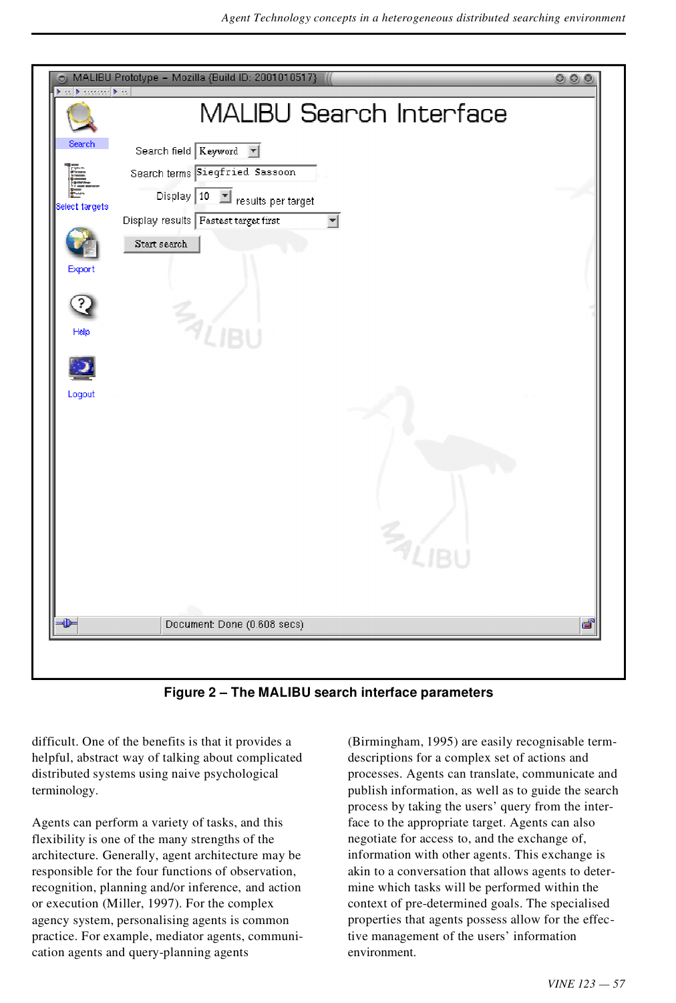| <b>Disk Microsoft &amp; St</b> | <b>MALIBU Search Interface</b>            |    |
|--------------------------------|-------------------------------------------|----|
| Search                         | Search field Keyword V                    |    |
|                                | Search terms Siegfried Sassoon            |    |
| Select targets                 | Display 10<br>크<br>results per target     |    |
|                                | Display results Fastest target first<br>회 |    |
|                                | Start search                              |    |
| Export                         |                                           |    |
| ?                              |                                           |    |
| Help                           | $\frac{Z_{\gamma}}{Z_{\text{LIBU}}}$      |    |
|                                |                                           |    |
|                                |                                           |    |
| Logout                         |                                           |    |
|                                |                                           |    |
|                                |                                           |    |
|                                |                                           |    |
|                                |                                           |    |
|                                |                                           |    |
|                                | $\frac{Z_{\text{A}}}{I_{\text{IB}}}$      |    |
|                                |                                           |    |
|                                |                                           |    |
| Œ-                             | Document: Done (0.608 secs)               | ෂ් |

**Figure 2 – The MALIBU search interface parameters**

difficult. One of the benefits is that it provides a helpful, abstract way of talking about complicated distributed systems using naive psychological terminology.

Agents can perform a variety of tasks, and this flexibility is one of the many strengths of the architecture. Generally, agent architecture may be responsible for the four functions of observation, recognition, planning and/or inference, and action or execution (Miller, 1997). For the complex agency system, personalising agents is common practice. For example, mediator agents, communi cation agents and query-planning agents

(Birmingham, 1995) are easily recognisable term descriptions for a complex set of actions and processes. Agents can translate, communicate and publish information, as well as to guide the search process by taking the users' query from the interface to the appropriate target. Agents can also negotiate for access to, and the exchange of, information with other agents. This exchange is akin to a conversation that allows agents to deter mine which tasks will be performed within the context of pre-determined goals. The specialised properties that agents possess allow for the effective management of the users' information environment.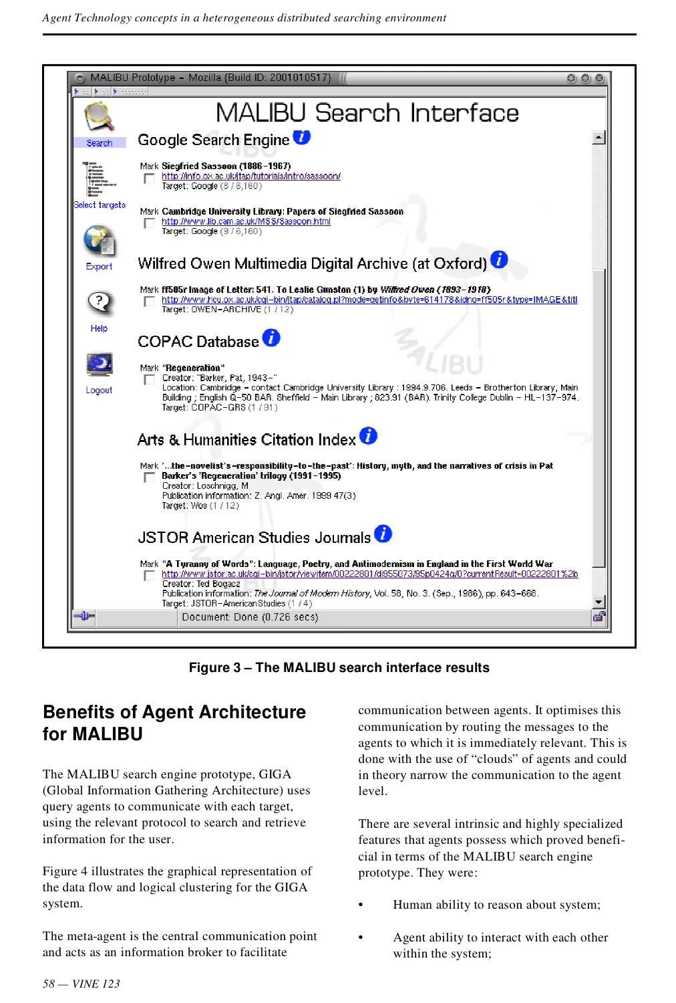

**Figure 3 – The MALIBU search interface results**

## **Benefits of Agent Architecture for MALIBU**

The MALIBU search engine prototype, GIGA (Global Information Gathering Architecture) uses query agents to communicate with each target, using the relevant protocol to search and retrieve information for the user.

Figure 4 illustrates the graphical representation of the data flow and logical clustering for the GIGA system.

The meta-agent is the central communication point and acts as an information broker to facilitate

communication between agents. It optimises this communication by routing the messages to the agents to which it is immediately relevant. This is done with the use of "clouds" of agents and could in theory narrow the communication to the agent level.

There are several intrinsic and highly specialized features that agents possess which proved benefi cial in terms of the MALIBU search engine prototype. They were:

- Human ability to reason about system;
- Agent ability to interact with each other within the system;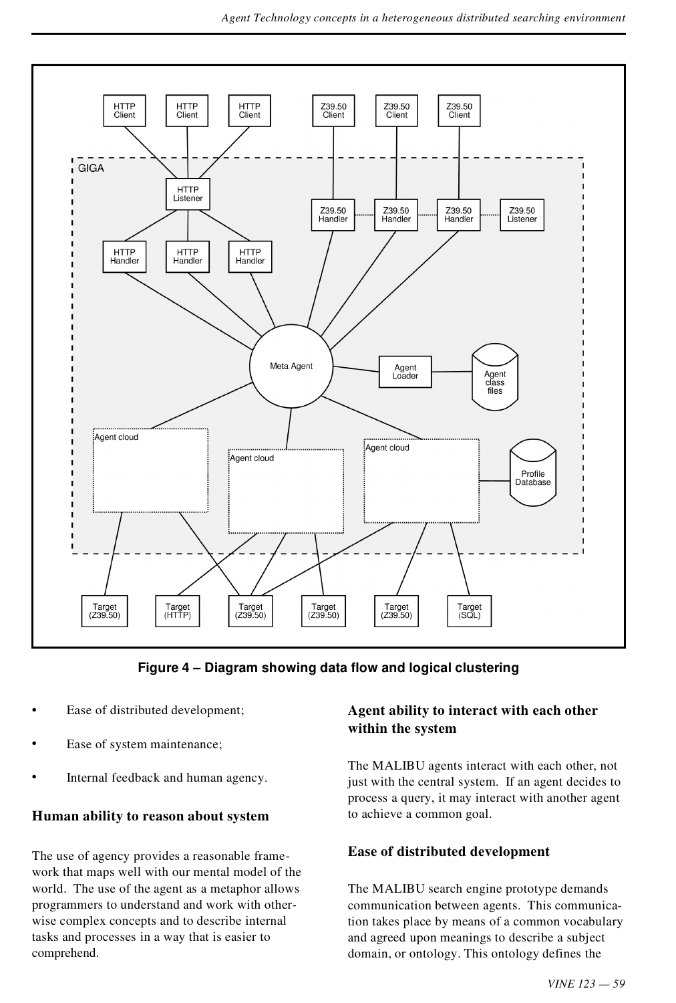

**Figure 4 – Diagram showing data flow and logical clustering**

- Ease of distributed development;
- Ease of system maintenance;
- Internal feedback and human agency.

#### **Human ability to reason about system**

The use of agency provides a reasonable frame work that maps well with our mental model of the world. The use of the agent as a metaphor allows programmers to understand and work with other wise complex concepts and to describe internal tasks and processes in a way that is easier to comprehend.

#### **Agent ability to interact with each other within the system**

The MALIBU agents interact with each other, not just with the central system. If an agent decides to process a query, it may interact with another agent to achieve a common goal.

#### **Ease of distributed development**

The MALIBU search engine prototype demands communication between agents. This communication takes place by means of a common vocabulary and agreed upon meanings to describe a subject domain, or ontology. This ontology defines the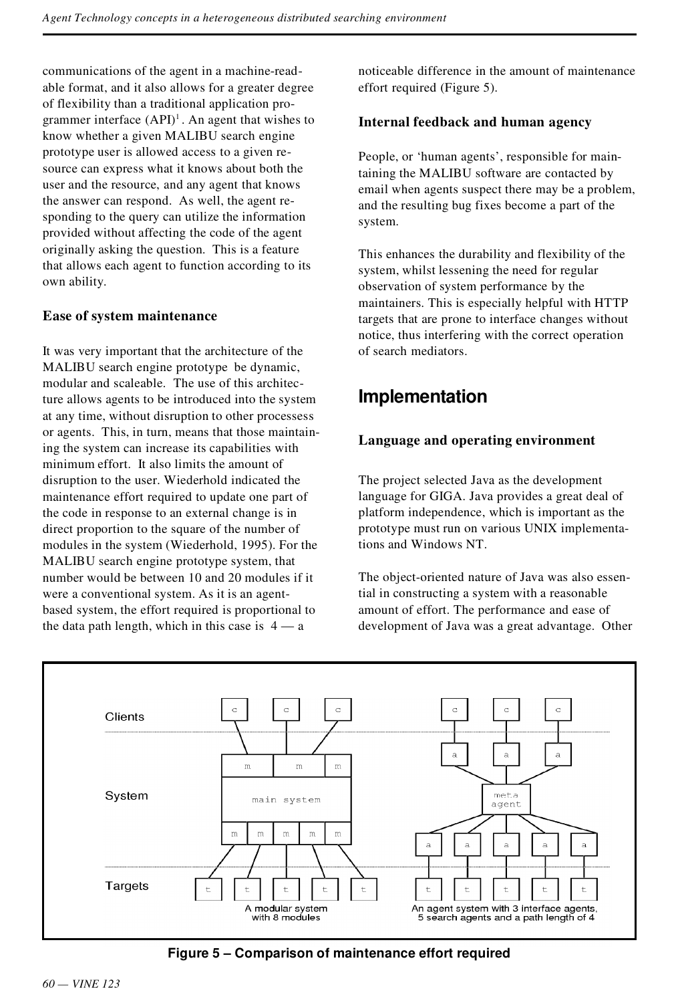communications of the agent in a machine-read able format, and it also allows for a greater degree of flexibility than a traditional application pro grammer interface (API) 1 . An agent that wishes to know whether a given MALIBU search engine prototype user is allowed access to a given resource can express what it knows about both the user and the resource, and any agent that knows the answer can respond. As well, the agent responding to the query can utilize the information provided without affecting the code of the agent originally asking the question. This is a feature that allows each agent to function according to its own ability.

#### **Ease of system maintenance**

It was very important that the architecture of the MALIBU search engine prototype be dynamic, modular and scaleable. The use of this architecture allows agents to be introduced into the system at any time, without disruption to other processess or agents. This, in turn, means that those maintaining the system can increase its capabilities with minimum effort. It also limits the amount of disruption to the user. Wiederhold indicated the maintenance effort required to update one part of the code in response to an external change is in direct proportion to the square of the number of modules in the system (Wiederhold, 1995). For the MALIBU search engine prototype system, that number would be between 10 and 20 modules if it were a conventional system. As it is an agent based system, the effort required is proportional to the data path length, which in this case is  $4 - a$ 

noticeable difference in the amount of maintenance effort required (Figure 5).

#### **Internal feedback and human agency**

People, or 'human agents', responsible for maintaining the MALIBU software are contacted by email when agents suspect there may be a problem, and the resulting bug fixes become a part of the system.

This enhances the durability and flexibility of the system, whilst lessening the need for regular observation of system performance by the maintainers. This is especially helpful with HTTP targets that are prone to interface changes without notice, thus interfering with the correct operation of search mediators.

# **Implementation**

#### **Language and operating environment**

The project selected Java as the development language for GIGA. Java provides a great deal of platform independence, which is important as the prototype must run on various UNIX implementations and Windows NT.

The object-oriented nature of Java was also essential in constructing a system with a reasonable amount of effort. The performance and ease of development of Java was a great advantage. Other



**Figure 5 – Comparison of maintenance effort required**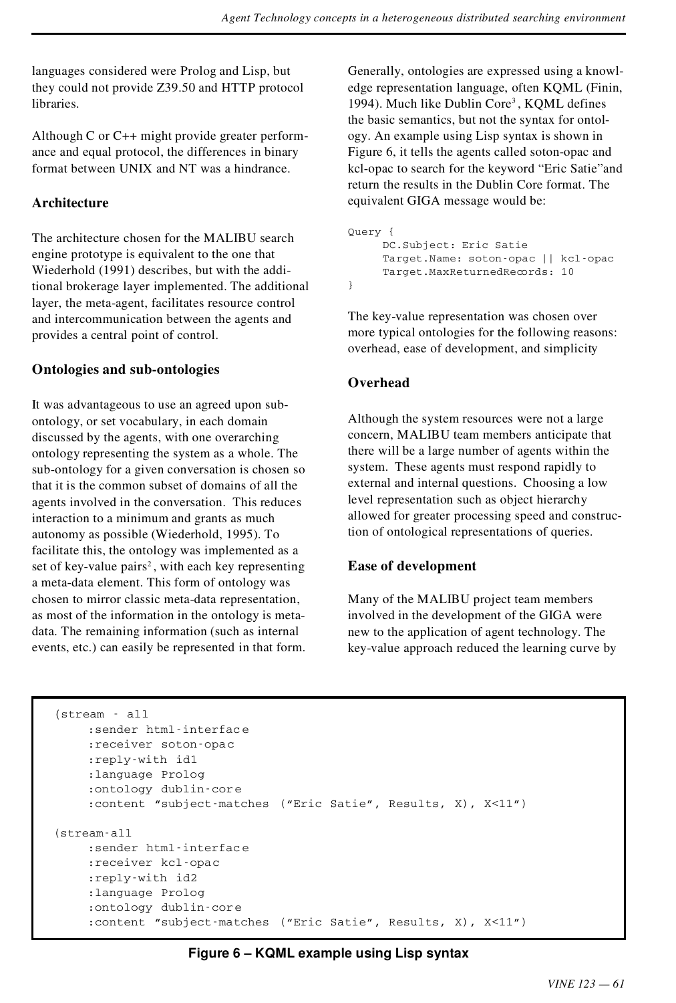languages considered were Prolog and Lisp, but they could not provide Z39.50 and HTTP protocol libraries.

Although C or C++ might provide greater perform ance and equal protocol, the differences in binary format between UNIX and NT was a hindrance.

#### **Architecture**

The architecture chosen for the MALIBU search engine prototype is equivalent to the one that Wiederhold (1991) describes, but with the additional brokerage layer implemented. The additional layer, the meta-agent, facilitates resource control and intercommunication between the agents and provides a central point of control.

#### **Ontologies and sub-ontologies**

It was advantageous to use an agreed upon sub ontology, or set vocabulary, in each domain discussed by the agents, with one overarching ontology representing the system as a whole. The sub-ontology for a given conversation is chosen so that it is the common subset of domains of all the agents involved in the conversation. This reduces interaction to a minimum and grants as much autonomy as possible (Wiederhold, 1995). To facilitate this, the ontology was implemented as a set of key-value pairs 2 , with each key representing a meta-data element. This form of ontology was chosen to mirror classic meta-data representation, as most of the information in the ontology is meta data. The remaining information (such as internal events, etc.) can easily be represented in that form.

Generally, ontologies are expressed using a knowl edge representation language, often KQML (Finin, 1994). Much like Dublin Core 3 , KQML defines the basic semantics, but not the syntax for ontol ogy. An example using Lisp syntax is shown in Figure 6, it tells the agents called soton-opac and kcl-opac to search for the keyword "Eric Satie"and return the results in the Dublin Core format. The equivalent GIGA message would be:

```
Query {
     DC.Subject: Eric Satie
     Target.Name: soton-opac || kcl-opac
     Target.MaxReturnedRecords: 10
}
```
The key-value representation was chosen over more typical ontologies for the following reasons: overhead, ease of development, and simplicity

#### **Overhead**

Although the system resources were not a large concern, MALIBU team members anticipate that there will be a large number of agents within the system. These agents must respond rapidly to external and internal questions. Choosing a low level representation such as object hierarchy allowed for greater processing speed and construction of ontological representations of queries.

#### **Ease of development**

Many of the MALIBU project team members involved in the development of the GIGA were new to the application of agent technology. The key-value approach reduced the learning curve by

```
(stream - all
    :sender html-interface
    :receiver soton-opac
    :reply-with id1
    :language Prolog
    :ontology dublin-core
    :content ªsubject-matches (ªEric Satieº, Results, X), X<11º)
(stream-all
    :sender html-interface
    :receiver kcl-opac
    :reply-with id2
    :language Prolog
    :ontology dublin-core
    :content ªsubject-matches (ªEric Satieº, Results, X), X<11º)
```
**Figure 6 – KQML example using Lisp syntax**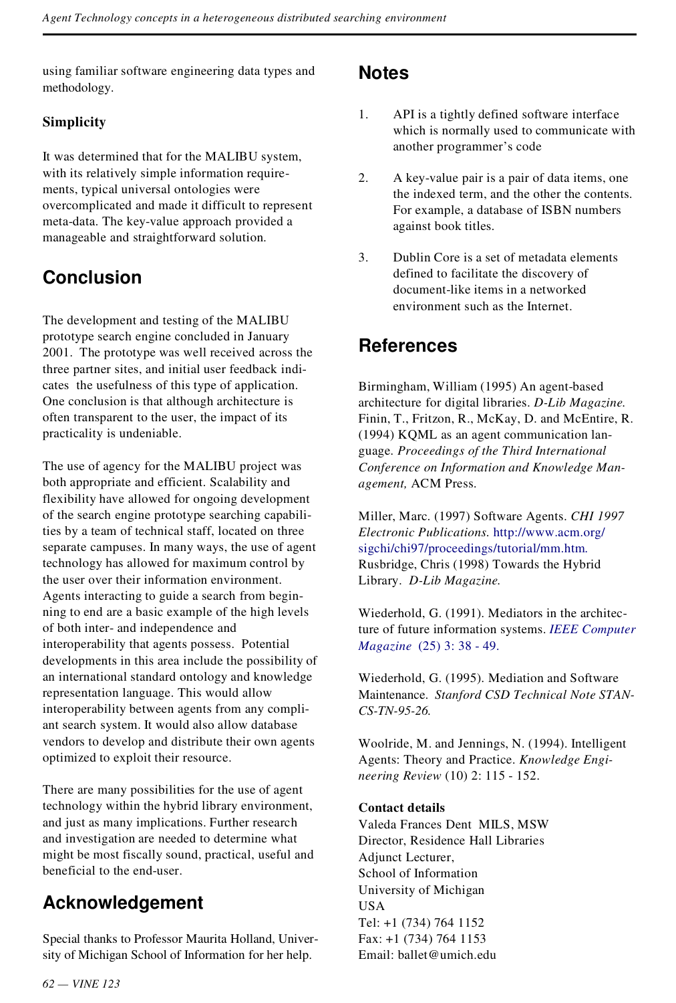using familiar software engineering data types and methodology.

#### **Simplicity**

It was determined that for the MALIBU system, with its relatively simple information require ments, typical universal ontologies were overcomplicated and made it difficult to represent meta-data. The key-value approach provided a manageable and straightforward solution.

# **Conclusion**

The development and testing of the MALIBU prototype search engine concluded in January 2001. The prototype was well received across the three partner sites, and initial user feedback indi cates the usefulness of this type of application. One conclusion is that although architecture is often transparent to the user, the impact of its practicality is undeniable.

The use of agency for the MALIBU project was both appropriate and efficient. Scalability and flexibility have allowed for ongoing development of the search engine prototype searching capabilities by a team of technical staff, located on three separate campuses. In many ways, the use of agent technology has allowed for maximum control by the user over their information environment. Agents interacting to guide a search from begin ning to end are a basic example of the high levels of both inter- and independence and interoperability that agents possess. Potential developments in this area include the possibility of an international standard ontology and knowledge representation language. This would allow interoperability between agents from any compli ant search system. It would also allow database vendors to develop and distribute their own agents optimized to exploit their resource.

There are many possibilities for the use of agent technology within the hybrid library environment, and just as many implications. Further research and investigation are needed to determine what might be most fiscally sound, practical, useful and beneficial to the end-user.

# **Acknowledgement**

Special thanks to Professor Maurita Holland, University of Michigan School of Information for her help.

### **Notes**

- 1. API is a tightly defined software interface which is normally used to communicate with another programmer's code
- 2. A key-value pair is a pair of data items, one the indexed term, and the other the contents. For example, a database of ISBN numbers against book titles.
- 3. Dublin Core is a set of metadata elements defined to facilitate the discovery of document-like items in a networked environment such as the Internet.

## **References**

Birmingham, William (1995) An agent-based architecture for digital libraries. *D-Lib Magazine.* Finin, T., Fritzon, R., McKay, D. and McEntire, R. (1994) KQML as an agent communication lan guage. *Proceedings of the Third International Conference on Information and Knowledge Man agement,* ACM Press.

Miller, Marc. (1997) Software Agents. *CHI 1997 Electronic Publications.* [http://www.acm.org/](http://www.acm.org/sigchi/chi97/proceedings/tutorial/mm.htm) [sigchi/chi97/proceedings/tutorial/mm.htm.](http://www.acm.org/sigchi/chi97/proceedings/tutorial/mm.htm) Rusbridge, Chris (1998) Towards the Hybrid Library. *D-Lib Magazine.*

Wiederhold, G. (1991). Mediators in the architecture of future information systems. *[IEEE Computer](http://giorgio.catchword.com/nw=1/rpsv/0018-9162^28^2925:3L.38[aid=1485394]) Magazine* [\(25\) 3: 38 - 49.](http://giorgio.catchword.com/nw=1/rpsv/0018-9162^28^2925:3L.38[aid=1485394])

Wiederhold, G. (1995). Mediation and Software Maintenance. *Stanford CSD Technical Note STAN- CS-TN-95-26.*

Woolride, M. and Jennings, N. (1994). Intelligent Agents: Theory and Practice. *Knowledge Engi neering Review* (10) 2: 115 - 152.

#### **Contact details**

Valeda Frances Dent MILS, MSW Director, Residence Hall Libraries Adjunct Lecturer, School of Information University of Michigan **USA** Tel: +1 (734) 764 1152 Fax: +1 (734) 764 1153 Email: ballet@umich.edu